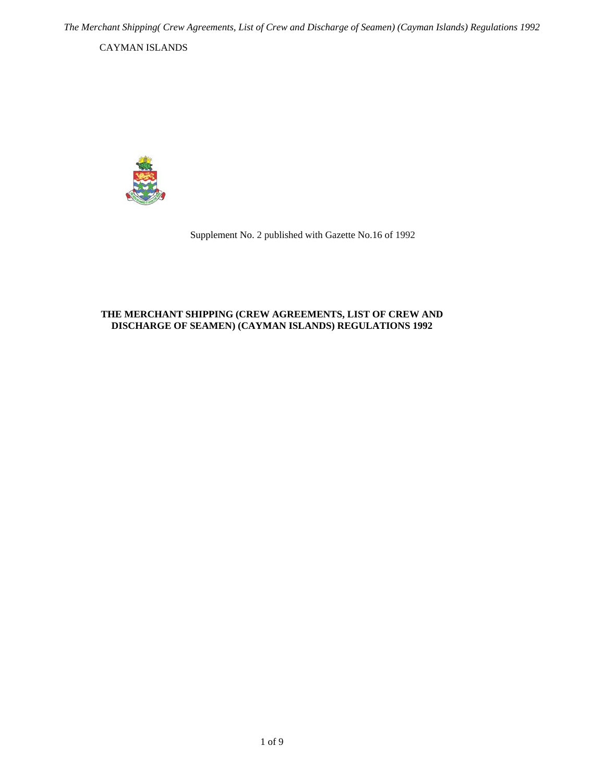<span id="page-0-0"></span>CAYMAN ISLANDS



Supplement No. 2 published with Gazette No.16 of 1992

## **THE MERCHANT SHIPPING (CREW AGREEMENTS, LIST OF CREW AND DISCHARGE OF SEAMEN) (CAYMAN ISLANDS) REGULATIONS 1992**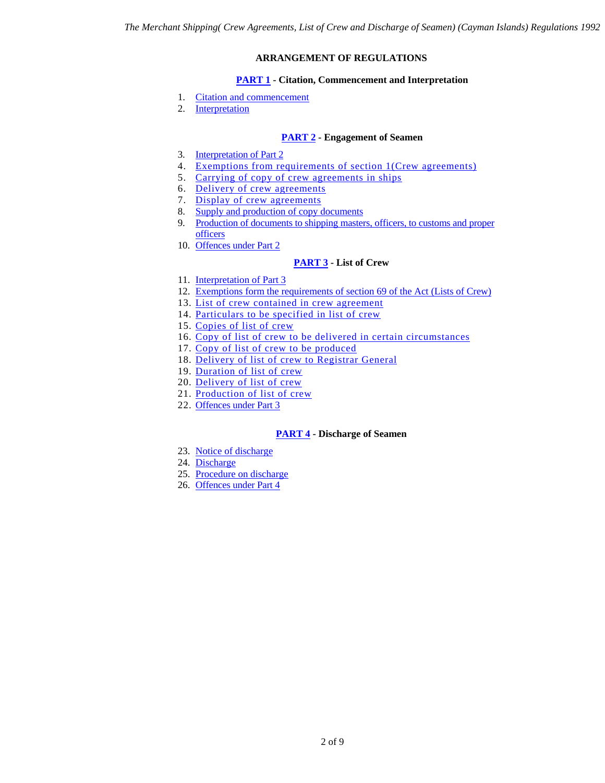## **ARRANGEMENT OF REGULATIONS**

## **[PART 1](#page-2-0) - Citation, Commencement and Interpretation**

- <span id="page-1-0"></span>1. [Citation and commencement](#page-2-1)
- 2. [Interpretation](#page-2-2)

## **[PART 2](#page-2-3) - Engagement of Seamen**

- 3. [Interpretation of Part 2](#page-2-4)
- 4. [Exemptions from requirements of section 1\(Crew agreements\)](#page-2-5)
- 5. [Carrying of copy of crew agreements in ships](#page-3-0)
- 6. [Delivery of crew agreements](#page-0-0)
- 7. [Display of crew agreements](#page-4-0)
- 8. [Supply and production of copy documents](#page-4-1)
- 9. [Production of documents to shipping masters, officers, to customs and proper](#page-4-2)  **[officers](#page-4-2)**
- 10. [Offences under Part 2](#page-4-3)

## **[PART 3](#page-4-4) - List of Crew**

- 11. [Interpretation of Part 3](#page-4-5)
- 12. [Exemptions form the requirements of section 69 of the Act \(Lists of Crew\)](#page-4-6)
- 13. [List of crew contained in crew agreement](#page-4-7)
- 14. [Particulars to be specified in list of crew](#page-5-0)
- 15. [Copies of list of crew](#page-5-1)
- 16. [Copy of list of crew to be delivered in certain circumstances](#page-5-2)
- 17. [Copy of list of crew to be produced](#page-5-3)
- 18. [Delivery of list of crew to Registrar General](#page-6-0)
- 19. [Duration of list of crew](#page-6-1)
- 20. [Delivery of list of crew](#page-6-2)
- 21. [Production of list of crew](#page-6-3)
- 22. [Offences under Part 3](#page-6-4)

## **[PART 4](#page-7-0) - Discharge of Seamen**

- 23. [Notice of discharge](#page-7-1)
- 24. [Discharge](#page-7-2)
- 25. [Procedure on discharge](#page-7-3)
- 26. [Offences under Part 4](#page-8-0)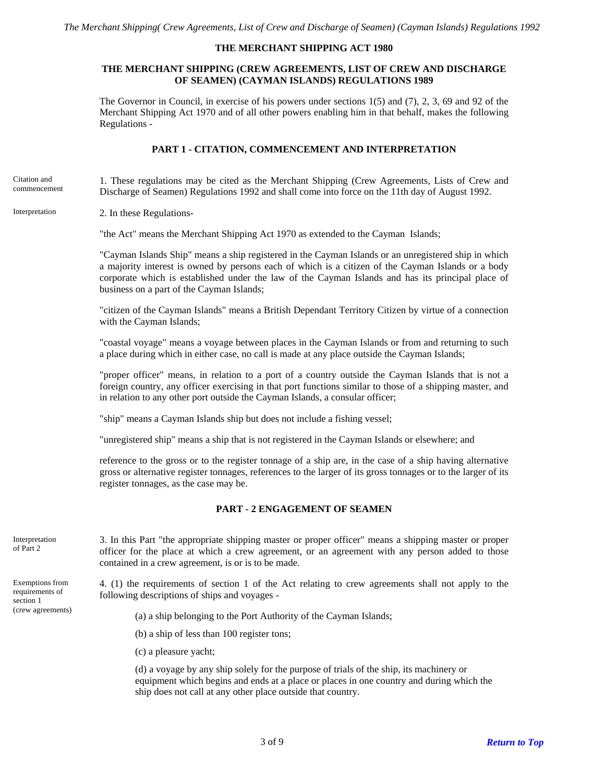#### **THE MERCHANT SHIPPING ACT 1980**

### **THE MERCHANT SHIPPING (CREW AGREEMENTS, LIST OF CREW AND DISCHARGE OF SEAMEN) (CAYMAN ISLANDS) REGULATIONS 1989**

The Governor in Council, in exercise of his powers under sections 1(5) and (7), 2, 3, 69 and 92 of the Merchant Shipping Act 1970 and of all other powers enabling him in that behalf, makes the following Regulations -

### **PART 1 - CITATION, COMMENCEMENT AND INTERPRETATION**

<span id="page-2-1"></span><span id="page-2-0"></span>1. These regulations may be cited as the Merchant Shipping (Crew Agreements, Lists of Crew and Discharge of Seamen) Regulations 1992 and shall come into force on the 11th day of August 1992. Citation and commencement

<span id="page-2-2"></span>Interpretation 2. In these Regulations-

"the Act" means the Merchant Shipping Act 1970 as extended to the Cayman Islands;

"Cayman Islands Ship" means a ship registered in the Cayman Islands or an unregistered ship in which a majority interest is owned by persons each of which is a citizen of the Cayman Islands or a body corporate which is established under the law of the Cayman Islands and has its principal place of business on a part of the Cayman Islands;

"citizen of the Cayman Islands" means a British Dependant Territory Citizen by virtue of a connection with the Cayman Islands;

"coastal voyage" means a voyage between places in the Cayman Islands or from and returning to such a place during which in either case, no call is made at any place outside the Cayman Islands;

"proper officer" means, in relation to a port of a country outside the Cayman Islands that is not a foreign country, any officer exercising in that port functions similar to those of a shipping master, and in relation to any other port outside the Cayman Islands, a consular officer;

"ship" means a Cayman Islands ship but does not include a fishing vessel;

"unregistered ship" means a ship that is not registered in the Cayman Islands or elsewhere; and

reference to the gross or to the register tonnage of a ship are, in the case of a ship having alternative gross or alternative register tonnages, references to the larger of its gross tonnages or to the larger of its register tonnages, as the case may be.

#### **PART - 2 ENGAGEMENT OF SEAMEN**

3. In this Part "the appropriate shipping master or proper officer" means a shipping master or proper officer for the place at which a crew agreement, or an agreement with any person added to those contained in a crew agreement, is or is to be made.

4. (1) the requirements of section 1 of the Act relating to crew agreements shall not apply to the following descriptions of ships and voyages -

(crew agreements) (a) a ship belonging to the Port Authority of the Cayman Islands;

(b) a ship of less than 100 register tons;

(c) a pleasure yacht;

(d) a voyage by any ship solely for the purpose of trials of the ship, its machinery or equipment which begins and ends at a place or places in one country and during which the ship does not call at any other place outside that country.

<span id="page-2-4"></span><span id="page-2-3"></span>Interpretation of Part 2

<span id="page-2-5"></span>Exemptions from requirements of section 1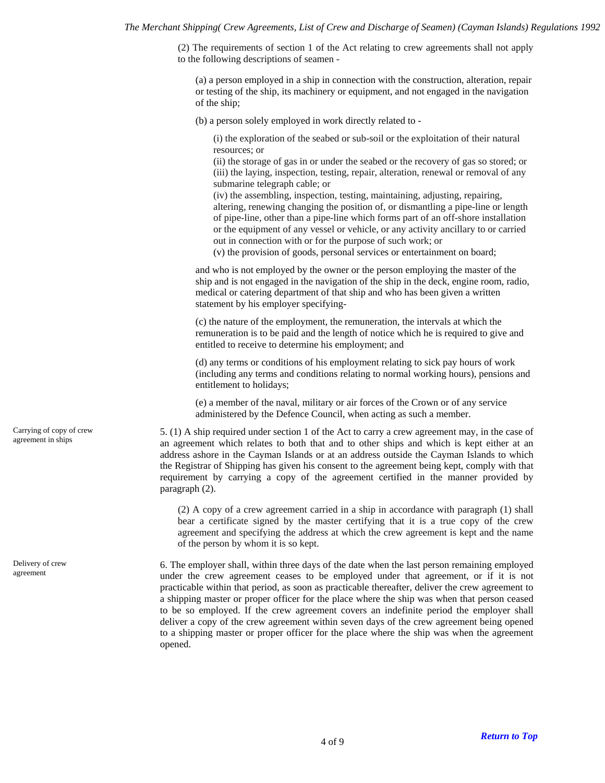(2) The requirements of section 1 of the Act relating to crew agreements shall not apply to the following descriptions of seamen -

(a) a person employed in a ship in connection with the construction, alteration, repair or testing of the ship, its machinery or equipment, and not engaged in the navigation of the ship;

(b) a person solely employed in work directly related to -

(i) the exploration of the seabed or sub-soil or the exploitation of their natural resources; or

(ii) the storage of gas in or under the seabed or the recovery of gas so stored; or (iii) the laying, inspection, testing, repair, alteration, renewal or removal of any submarine telegraph cable; or

(iv) the assembling, inspection, testing, maintaining, adjusting, repairing, altering, renewing changing the position of, or dismantling a pipe-line or length of pipe-line, other than a pipe-line which forms part of an off-shore installation or the equipment of any vessel or vehicle, or any activity ancillary to or carried out in connection with or for the purpose of such work; or

(v) the provision of goods, personal services or entertainment on board;

and who is not employed by the owner or the person employing the master of the ship and is not engaged in the navigation of the ship in the deck, engine room, radio, medical or catering department of that ship and who has been given a written statement by his employer specifying-

(c) the nature of the employment, the remuneration, the intervals at which the remuneration is to be paid and the length of notice which he is required to give and entitled to receive to determine his employment; and

(d) any terms or conditions of his employment relating to sick pay hours of work (including any terms and conditions relating to normal working hours), pensions and entitlement to holidays;

(e) a member of the naval, military or air forces of the Crown or of any service administered by the Defence Council, when acting as such a member.

5. (1) A ship required under section 1 of the Act to carry a crew agreement may, in the case of an agreement which relates to both that and to other ships and which is kept either at an address ashore in the Cayman Islands or at an address outside the Cayman Islands to which the Registrar of Shipping has given his consent to the agreement being kept, comply with that requirement by carrying a copy of the agreement certified in the manner provided by paragraph (2).

(2) A copy of a crew agreement carried in a ship in accordance with paragraph (1) shall bear a certificate signed by the master certifying that it is a true copy of the crew agreement and specifying the address at which the crew agreement is kept and the name of the person by whom it is so kept.

6. The employer shall, within three days of the date when the last person remaining employed under the crew agreement ceases to be employed under that agreement, or if it is not practicable within that period, as soon as practicable thereafter, deliver the crew agreement to a shipping master or proper officer for the place where the ship was when that person ceased to be so employed. If the crew agreement covers an indefinite period the employer shall deliver a copy of the crew agreement within seven days of the crew agreement being opened to a shipping master or proper officer for the place where the ship was when the agreement opened.

<span id="page-3-0"></span>Carrying of copy of crew agreement in ships

Delivery of crew agreement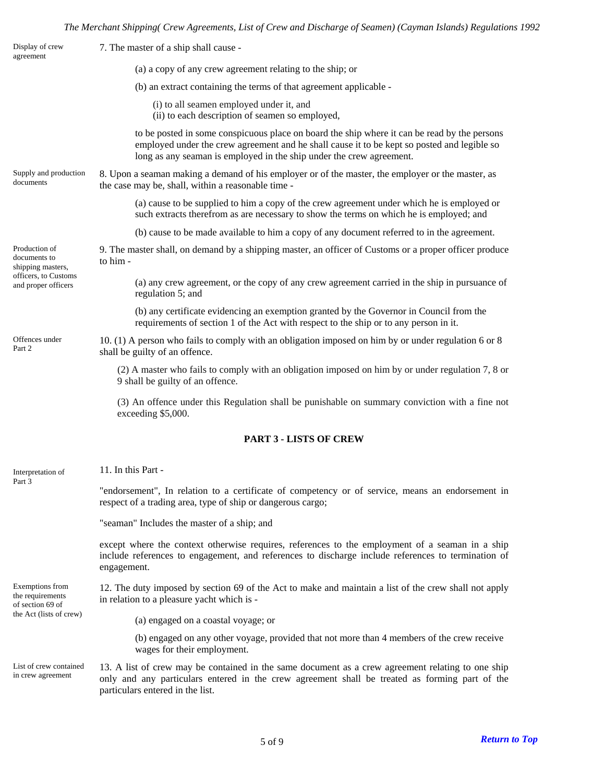## *The Merchant Shipping( Crew Agreements, List of Crew and Discharge of Seamen) (Cayman Islands) Regulations 1992*

<span id="page-4-7"></span><span id="page-4-6"></span><span id="page-4-5"></span><span id="page-4-4"></span><span id="page-4-3"></span><span id="page-4-2"></span><span id="page-4-1"></span><span id="page-4-0"></span>

| Display of crew<br>agreement                                                                      | 7. The master of a ship shall cause -                                                                                                                                                                                                                               |  |  |
|---------------------------------------------------------------------------------------------------|---------------------------------------------------------------------------------------------------------------------------------------------------------------------------------------------------------------------------------------------------------------------|--|--|
|                                                                                                   | (a) a copy of any crew agreement relating to the ship; or                                                                                                                                                                                                           |  |  |
|                                                                                                   | (b) an extract containing the terms of that agreement applicable -                                                                                                                                                                                                  |  |  |
|                                                                                                   | (i) to all seamen employed under it, and<br>(ii) to each description of seamen so employed,                                                                                                                                                                         |  |  |
|                                                                                                   | to be posted in some conspicuous place on board the ship where it can be read by the persons<br>employed under the crew agreement and he shall cause it to be kept so posted and legible so<br>long as any seaman is employed in the ship under the crew agreement. |  |  |
| Supply and production<br>documents                                                                | 8. Upon a seaman making a demand of his employer or of the master, the employer or the master, as<br>the case may be, shall, within a reasonable time -                                                                                                             |  |  |
|                                                                                                   | (a) cause to be supplied to him a copy of the crew agreement under which he is employed or<br>such extracts therefrom as are necessary to show the terms on which he is employed; and                                                                               |  |  |
|                                                                                                   | (b) cause to be made available to him a copy of any document referred to in the agreement.                                                                                                                                                                          |  |  |
| Production of<br>documents to<br>shipping masters,<br>officers, to Customs<br>and proper officers | 9. The master shall, on demand by a shipping master, an officer of Customs or a proper officer produce<br>to him -                                                                                                                                                  |  |  |
|                                                                                                   | (a) any crew agreement, or the copy of any crew agreement carried in the ship in pursuance of<br>regulation 5; and                                                                                                                                                  |  |  |
|                                                                                                   | (b) any certificate evidencing an exemption granted by the Governor in Council from the<br>requirements of section 1 of the Act with respect to the ship or to any person in it.                                                                                    |  |  |
| Offences under<br>Part 2                                                                          | 10. (1) A person who fails to comply with an obligation imposed on him by or under regulation 6 or 8<br>shall be guilty of an offence.                                                                                                                              |  |  |
|                                                                                                   | (2) A master who fails to comply with an obligation imposed on him by or under regulation 7, 8 or<br>9 shall be guilty of an offence.                                                                                                                               |  |  |
|                                                                                                   | (3) An offence under this Regulation shall be punishable on summary conviction with a fine not<br>exceeding \$5,000.                                                                                                                                                |  |  |
|                                                                                                   | <b>PART 3 - LISTS OF CREW</b>                                                                                                                                                                                                                                       |  |  |
| Interpretation of<br>Part 3                                                                       | 11. In this Part -                                                                                                                                                                                                                                                  |  |  |
|                                                                                                   | "endorsement", In relation to a certificate of competency or of service, means an endorsement in<br>respect of a trading area, type of ship or dangerous cargo;                                                                                                     |  |  |
|                                                                                                   | "seaman" Includes the master of a ship; and                                                                                                                                                                                                                         |  |  |
|                                                                                                   | except where the context otherwise requires, references to the employment of a seaman in a ship<br>include references to engagement, and references to discharge include references to termination of<br>engagement.                                                |  |  |
| Exemptions from<br>the requirements<br>of section 69 of<br>the Act (lists of crew)                | 12. The duty imposed by section 69 of the Act to make and maintain a list of the crew shall not apply<br>in relation to a pleasure yacht which is -                                                                                                                 |  |  |
|                                                                                                   | (a) engaged on a coastal voyage; or                                                                                                                                                                                                                                 |  |  |
|                                                                                                   | (b) engaged on any other voyage, provided that not more than 4 members of the crew receive<br>wages for their employment.                                                                                                                                           |  |  |
| List of crew contained<br>in crew agreement                                                       | 13. A list of crew may be contained in the same document as a crew agreement relating to one ship<br>only and any particulars entered in the crew agreement shall be treated as forming part of the<br>particulars entered in the list.                             |  |  |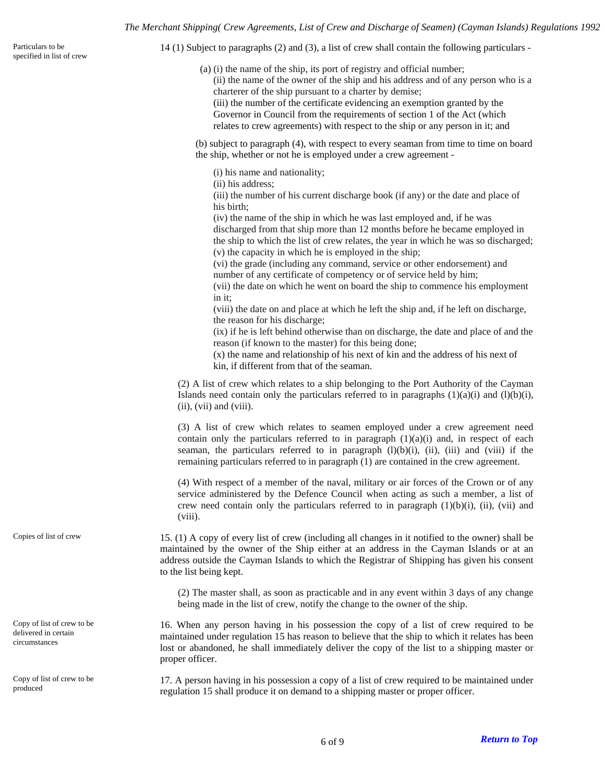*The Merchant Shipping( Crew Agreements, List of Crew and Discharge of Seamen) (Cayman Islands) Regulations 1992*

<span id="page-5-0"></span>Particulars to be 14 (1) Subject to paragraphs (2) and (3), a list of crew shall contain the following particulars - specified in list of crew

(a) (i) the name of the ship, its port of registry and official number;

(ii) the name of the owner of the ship and his address and of any person who is a charterer of the ship pursuant to a charter by demise;

(iii) the number of the certificate evidencing an exemption granted by the Governor in Council from the requirements of section 1 of the Act (which relates to crew agreements) with respect to the ship or any person in it; and

(b) subject to paragraph (4), with respect to every seaman from time to time on board the ship, whether or not he is employed under a crew agreement -

(i) his name and nationality;

(ii) his address;

(iii) the number of his current discharge book (if any) or the date and place of his birth;

(iv) the name of the ship in which he was last employed and, if he was discharged from that ship more than 12 months before he became employed in the ship to which the list of crew relates, the year in which he was so discharged; (v) the capacity in which he is employed in the ship;

(vi) the grade (including any command, service or other endorsement) and number of any certificate of competency or of service held by him;

(vii) the date on which he went on board the ship to commence his employment in it;

(viii) the date on and place at which he left the ship and, if he left on discharge, the reason for his discharge;

(ix) if he is left behind otherwise than on discharge, the date and place of and the reason (if known to the master) for this being done;

(x) the name and relationship of his next of kin and the address of his next of kin, if different from that of the seaman.

(2) A list of crew which relates to a ship belonging to the Port Authority of the Cayman Islands need contain only the particulars referred to in paragraphs  $(1)(a)(i)$  and  $(1)(b)(i)$ ,  $(ii)$ ,  $(vii)$  and  $(viii)$ .

(3) A list of crew which relates to seamen employed under a crew agreement need contain only the particulars referred to in paragraph  $(1)(a)(i)$  and, in respect of each seaman, the particulars referred to in paragraph  $(l)(b)(i)$ ,  $(ii)$ ,  $(iii)$  and  $(viii)$  if the remaining particulars referred to in paragraph (1) are contained in the crew agreement.

(4) With respect of a member of the naval, military or air forces of the Crown or of any service administered by the Defence Council when acting as such a member, a list of crew need contain only the particulars referred to in paragraph  $(1)(b)(i)$ ,  $(ii)$ ,  $(vii)$  and (viii).

<span id="page-5-1"></span>Copies of list of crew 15. (1) A copy of every list of crew (including all changes in it notified to the owner) shall be maintained by the owner of the Ship either at an address in the Cayman Islands or at an address outside the Cayman Islands to which the Registrar of Shipping has given his consent to the list being kept.

> (2) The master shall, as soon as practicable and in any event within 3 days of any change being made in the list of crew, notify the change to the owner of the ship.

16. When any person having in his possession the copy of a list of crew required to be maintained under regulation 15 has reason to believe that the ship to which it relates has been lost or abandoned, he shall immediately deliver the copy of the list to a shipping master or proper officer.

17. A person having in his possession a copy of a list of crew required to be maintained under regulation 15 shall produce it on demand to a shipping master or proper officer.

<span id="page-5-2"></span>Copy of list of crew to be delivered in certain circumstances

<span id="page-5-3"></span>Copy of list of crew to be produced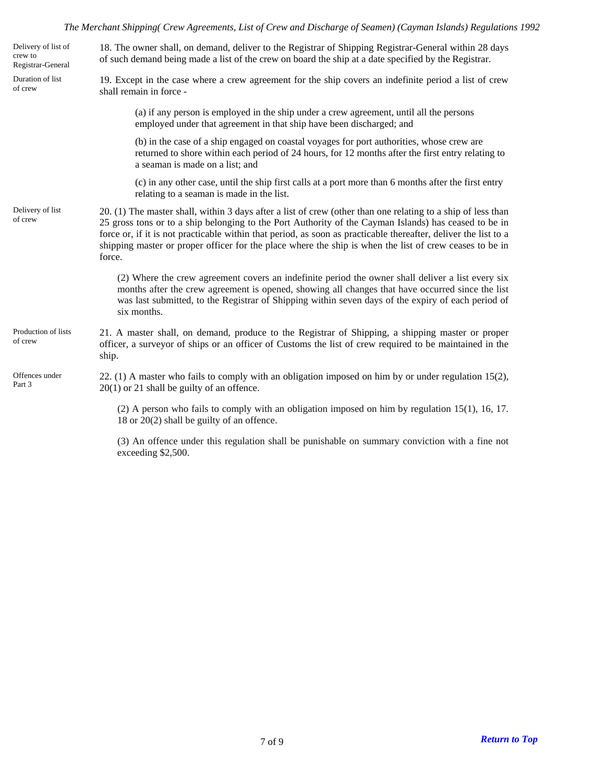## *The Merchant Shipping( Crew Agreements, List of Crew and Discharge of Seamen) (Cayman Islands) Regulations 1992*

<span id="page-6-4"></span><span id="page-6-3"></span><span id="page-6-2"></span><span id="page-6-1"></span><span id="page-6-0"></span>

| Delivery of list of<br>crew to<br>Registrar-General | 18. The owner shall, on demand, deliver to the Registrar of Shipping Registrar-General within 28 days<br>of such demand being made a list of the crew on board the ship at a date specified by the Registrar.                                                                                                                                                                                                                                                 |  |
|-----------------------------------------------------|---------------------------------------------------------------------------------------------------------------------------------------------------------------------------------------------------------------------------------------------------------------------------------------------------------------------------------------------------------------------------------------------------------------------------------------------------------------|--|
| Duration of list<br>of crew                         | 19. Except in the case where a crew agreement for the ship covers an indefinite period a list of crew<br>shall remain in force -                                                                                                                                                                                                                                                                                                                              |  |
|                                                     | (a) if any person is employed in the ship under a crew agreement, until all the persons<br>employed under that agreement in that ship have been discharged; and                                                                                                                                                                                                                                                                                               |  |
|                                                     | (b) in the case of a ship engaged on coastal voyages for port authorities, whose crew are<br>returned to shore within each period of 24 hours, for 12 months after the first entry relating to<br>a seaman is made on a list; and                                                                                                                                                                                                                             |  |
|                                                     | (c) in any other case, until the ship first calls at a port more than 6 months after the first entry<br>relating to a seaman is made in the list.                                                                                                                                                                                                                                                                                                             |  |
| Delivery of list<br>of crew                         | 20. (1) The master shall, within 3 days after a list of crew (other than one relating to a ship of less than<br>25 gross tons or to a ship belonging to the Port Authority of the Cayman Islands) has ceased to be in<br>force or, if it is not practicable within that period, as soon as practicable thereafter, deliver the list to a<br>shipping master or proper officer for the place where the ship is when the list of crew ceases to be in<br>force. |  |
|                                                     | (2) Where the crew agreement covers an indefinite period the owner shall deliver a list every six<br>months after the crew agreement is opened, showing all changes that have occurred since the list<br>was last submitted, to the Registrar of Shipping within seven days of the expiry of each period of<br>six months.                                                                                                                                    |  |
| Production of lists<br>of crew                      | 21. A master shall, on demand, produce to the Registrar of Shipping, a shipping master or proper<br>officer, a surveyor of ships or an officer of Customs the list of crew required to be maintained in the<br>ship.                                                                                                                                                                                                                                          |  |
| Offences under<br>Part 3                            | 22. (1) A master who fails to comply with an obligation imposed on him by or under regulation 15(2),<br>$20(1)$ or 21 shall be guilty of an offence.                                                                                                                                                                                                                                                                                                          |  |
|                                                     | $(2)$ A person who fails to comply with an obligation imposed on him by regulation 15(1), 16, 17.<br>18 or 20(2) shall be guilty of an offence.                                                                                                                                                                                                                                                                                                               |  |
|                                                     | (3) An offence under this regulation shall be punishable on summary conviction with a fine not<br>exceeding \$2,500.                                                                                                                                                                                                                                                                                                                                          |  |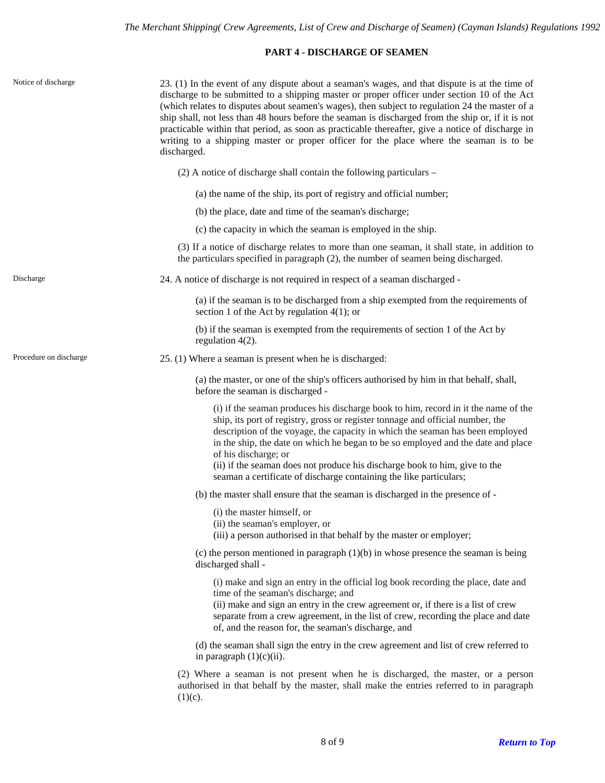# **PART 4 - DISCHARGE OF SEAMEN**

<span id="page-7-3"></span><span id="page-7-2"></span><span id="page-7-1"></span><span id="page-7-0"></span>

| Notice of discharge    | 23. (1) In the event of any dispute about a seaman's wages, and that dispute is at the time of<br>discharge to be submitted to a shipping master or proper officer under section 10 of the Act<br>(which relates to disputes about seamen's wages), then subject to regulation 24 the master of a<br>ship shall, not less than 48 hours before the seaman is discharged from the ship or, if it is not<br>practicable within that period, as soon as practicable thereafter, give a notice of discharge in<br>writing to a shipping master or proper officer for the place where the seaman is to be<br>discharged. |
|------------------------|---------------------------------------------------------------------------------------------------------------------------------------------------------------------------------------------------------------------------------------------------------------------------------------------------------------------------------------------------------------------------------------------------------------------------------------------------------------------------------------------------------------------------------------------------------------------------------------------------------------------|
|                        | (2) A notice of discharge shall contain the following particulars –                                                                                                                                                                                                                                                                                                                                                                                                                                                                                                                                                 |
|                        | (a) the name of the ship, its port of registry and official number;                                                                                                                                                                                                                                                                                                                                                                                                                                                                                                                                                 |
|                        | (b) the place, date and time of the seaman's discharge;                                                                                                                                                                                                                                                                                                                                                                                                                                                                                                                                                             |
|                        | (c) the capacity in which the seaman is employed in the ship.                                                                                                                                                                                                                                                                                                                                                                                                                                                                                                                                                       |
|                        | (3) If a notice of discharge relates to more than one seaman, it shall state, in addition to<br>the particulars specified in paragraph (2), the number of seamen being discharged.                                                                                                                                                                                                                                                                                                                                                                                                                                  |
| Discharge              | 24. A notice of discharge is not required in respect of a seaman discharged -                                                                                                                                                                                                                                                                                                                                                                                                                                                                                                                                       |
|                        | (a) if the seaman is to be discharged from a ship exempted from the requirements of<br>section 1 of the Act by regulation $4(1)$ ; or                                                                                                                                                                                                                                                                                                                                                                                                                                                                               |
|                        | (b) if the seaman is exempted from the requirements of section 1 of the Act by<br>regulation $4(2)$ .                                                                                                                                                                                                                                                                                                                                                                                                                                                                                                               |
| Procedure on discharge | 25. (1) Where a seaman is present when he is discharged:                                                                                                                                                                                                                                                                                                                                                                                                                                                                                                                                                            |
|                        | (a) the master, or one of the ship's officers authorised by him in that behalf, shall,<br>before the seaman is discharged -                                                                                                                                                                                                                                                                                                                                                                                                                                                                                         |
|                        | (i) if the seaman produces his discharge book to him, record in it the name of the<br>ship, its port of registry, gross or register tonnage and official number, the<br>description of the voyage, the capacity in which the seaman has been employed<br>in the ship, the date on which he began to be so employed and the date and place<br>of his discharge; or<br>(ii) if the seaman does not produce his discharge book to him, give to the<br>seaman a certificate of discharge containing the like particulars;                                                                                               |
|                        | (b) the master shall ensure that the seaman is discharged in the presence of -                                                                                                                                                                                                                                                                                                                                                                                                                                                                                                                                      |
|                        | (i) the master himself, or<br>(ii) the seaman's employer, or<br>(iii) a person authorised in that behalf by the master or employer;                                                                                                                                                                                                                                                                                                                                                                                                                                                                                 |
|                        | (c) the person mentioned in paragraph $(1)(b)$ in whose presence the seaman is being<br>discharged shall -                                                                                                                                                                                                                                                                                                                                                                                                                                                                                                          |
|                        | (i) make and sign an entry in the official log book recording the place, date and<br>time of the seaman's discharge; and<br>(ii) make and sign an entry in the crew agreement or, if there is a list of crew<br>separate from a crew agreement, in the list of crew, recording the place and date<br>of, and the reason for, the seaman's discharge, and                                                                                                                                                                                                                                                            |
|                        | (d) the seaman shall sign the entry in the crew agreement and list of crew referred to<br>in paragraph $(1)(c)(ii)$ .                                                                                                                                                                                                                                                                                                                                                                                                                                                                                               |
|                        | (2) Where a seaman is not present when he is discharged, the master, or a person<br>authorised in that behalf by the master, shall make the entries referred to in paragraph<br>$(1)(c)$ .                                                                                                                                                                                                                                                                                                                                                                                                                          |